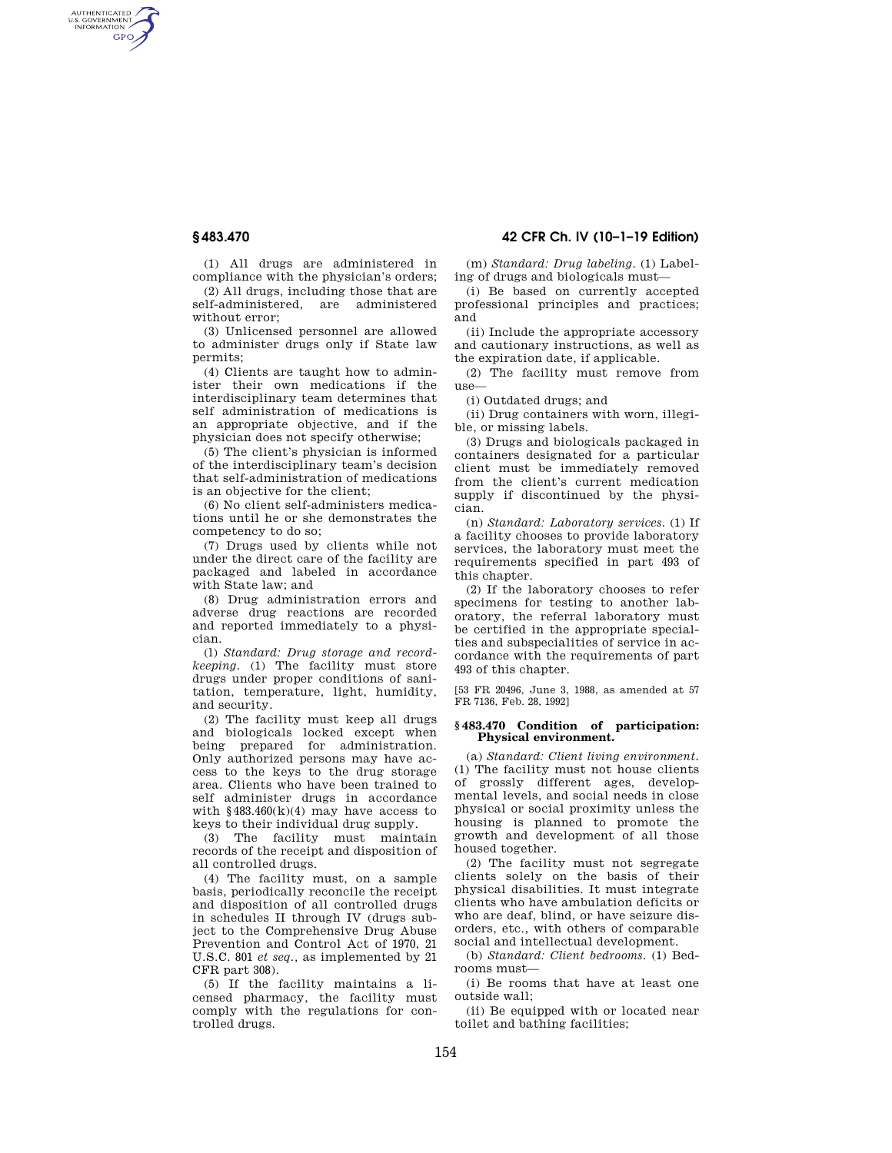AUTHENTICATED<br>U.S. GOVERNMENT<br>INFORMATION **GPO** 

> (1) All drugs are administered in compliance with the physician's orders; (2) All drugs, including those that are self-administered, are administered without error;

(3) Unlicensed personnel are allowed to administer drugs only if State law permits;

(4) Clients are taught how to administer their own medications if the interdisciplinary team determines that self administration of medications is an appropriate objective, and if the physician does not specify otherwise;

(5) The client's physician is informed of the interdisciplinary team's decision that self-administration of medications is an objective for the client;

(6) No client self-administers medications until he or she demonstrates the competency to do so;

(7) Drugs used by clients while not under the direct care of the facility are packaged and labeled in accordance with State law; and

(8) Drug administration errors and adverse drug reactions are recorded and reported immediately to a physician.

(l) *Standard: Drug storage and recordkeeping.* (1) The facility must store drugs under proper conditions of sanitation, temperature, light, humidity, and security.

(2) The facility must keep all drugs and biologicals locked except when being prepared for administration. Only authorized persons may have access to the keys to the drug storage area. Clients who have been trained to self administer drugs in accordance with  $$483.460(k)(4)$  may have access to keys to their individual drug supply.

(3) The facility must maintain records of the receipt and disposition of all controlled drugs.

(4) The facility must, on a sample basis, periodically reconcile the receipt and disposition of all controlled drugs in schedules II through IV (drugs subject to the Comprehensive Drug Abuse Prevention and Control Act of 1970, 21 U.S.C. 801 *et seq.,* as implemented by 21 CFR part 308).

(5) If the facility maintains a licensed pharmacy, the facility must comply with the regulations for controlled drugs.

**§ 483.470 42 CFR Ch. IV (10–1–19 Edition)** 

(m) *Standard: Drug labeling.* (1) Labeling of drugs and biologicals must—

(i) Be based on currently accepted professional principles and practices; and

(ii) Include the appropriate accessory and cautionary instructions, as well as the expiration date, if applicable.

(2) The facility must remove from  $use-$ 

(i) Outdated drugs; and

(ii) Drug containers with worn, illegible, or missing labels.

(3) Drugs and biologicals packaged in containers designated for a particular client must be immediately removed from the client's current medication supply if discontinued by the physician.

(n) *Standard: Laboratory services.* (1) If a facility chooses to provide laboratory services, the laboratory must meet the requirements specified in part 493 of this chapter.

(2) If the laboratory chooses to refer specimens for testing to another laboratory, the referral laboratory must be certified in the appropriate specialties and subspecialities of service in accordance with the requirements of part 493 of this chapter.

[53 FR 20496, June 3, 1988, as amended at 57 FR 7136, Feb. 28, 1992]

#### **§ 483.470 Condition of participation: Physical environment.**

(a) *Standard: Client living environment.*  (1) The facility must not house clients of grossly different ages, developmental levels, and social needs in close physical or social proximity unless the housing is planned to promote the growth and development of all those housed together.

(2) The facility must not segregate clients solely on the basis of their physical disabilities. It must integrate clients who have ambulation deficits or who are deaf, blind, or have seizure disorders, etc., with others of comparable social and intellectual development.

(b) *Standard: Client bedrooms.* (1) Bedrooms must—

(i) Be rooms that have at least one outside wall;

(ii) Be equipped with or located near toilet and bathing facilities;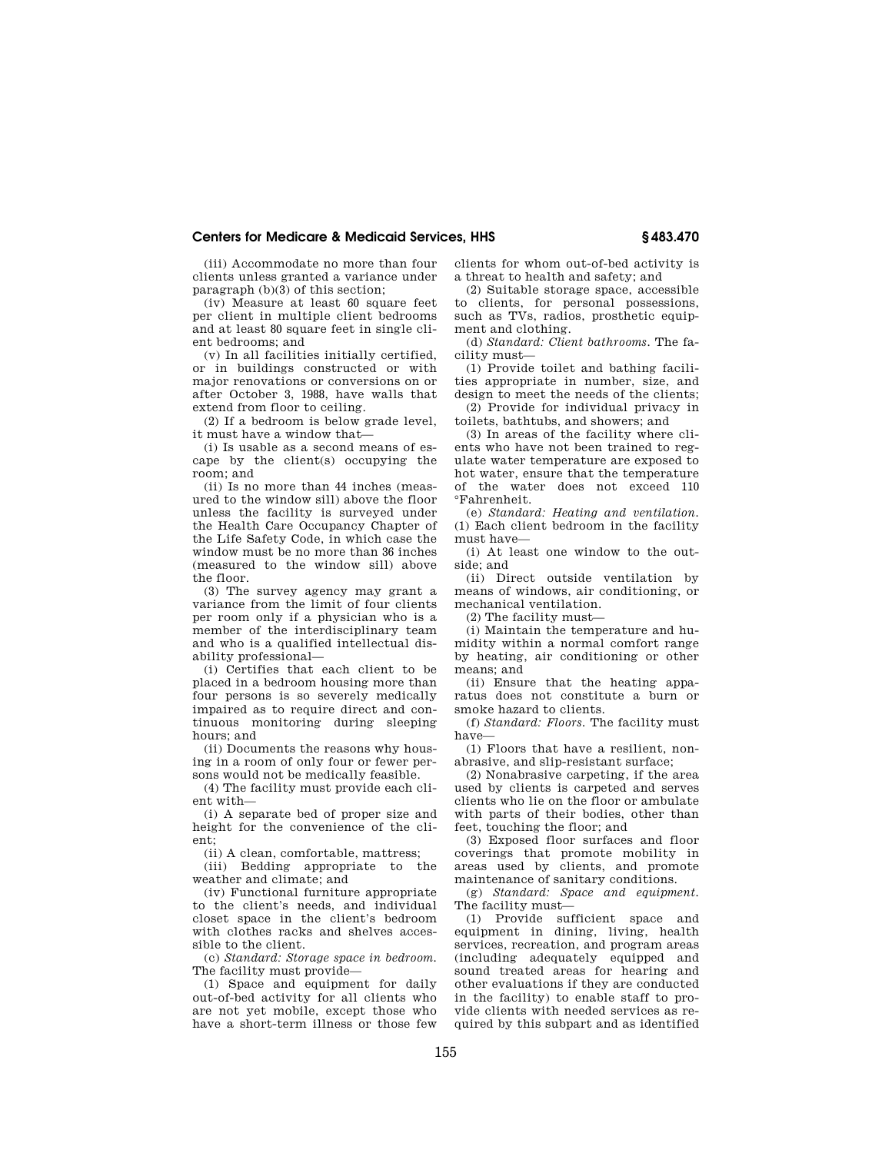# **Centers for Medicare & Medicaid Services, HHS § 483.470**

(iii) Accommodate no more than four clients unless granted a variance under paragraph (b)(3) of this section;

(iv) Measure at least 60 square feet per client in multiple client bedrooms and at least 80 square feet in single client bedrooms; and

(v) In all facilities initially certified, or in buildings constructed or with major renovations or conversions on or after October 3, 1988, have walls that extend from floor to ceiling.

(2) If a bedroom is below grade level, it must have a window that—

(i) Is usable as a second means of escape by the client(s) occupying the room; and

(ii) Is no more than 44 inches (measured to the window sill) above the floor unless the facility is surveyed under the Health Care Occupancy Chapter of the Life Safety Code, in which case the window must be no more than 36 inches (measured to the window sill) above the floor.

(3) The survey agency may grant a variance from the limit of four clients per room only if a physician who is a member of the interdisciplinary team and who is a qualified intellectual disability professional—

(i) Certifies that each client to be placed in a bedroom housing more than four persons is so severely medically impaired as to require direct and continuous monitoring during sleeping hours; and

(ii) Documents the reasons why housing in a room of only four or fewer persons would not be medically feasible.

(4) The facility must provide each client with—

(i) A separate bed of proper size and height for the convenience of the client;

(ii) A clean, comfortable, mattress;

(iii) Bedding appropriate to the weather and climate; and

(iv) Functional furniture appropriate to the client's needs, and individual closet space in the client's bedroom with clothes racks and shelves accessible to the client.

(c) *Standard: Storage space in bedroom.*  The facility must provide—

(1) Space and equipment for daily out-of-bed activity for all clients who are not yet mobile, except those who have a short-term illness or those few clients for whom out-of-bed activity is a threat to health and safety; and

(2) Suitable storage space, accessible to clients, for personal possessions, such as TVs, radios, prosthetic equipment and clothing.

(d) *Standard: Client bathrooms.* The facility must—

(1) Provide toilet and bathing facilities appropriate in number, size, and design to meet the needs of the clients;

(2) Provide for individual privacy in toilets, bathtubs, and showers; and

(3) In areas of the facility where clients who have not been trained to regulate water temperature are exposed to hot water, ensure that the temperature of the water does not exceed 110 °Fahrenheit.

(e) *Standard: Heating and ventilation.*  (1) Each client bedroom in the facility must have—

(i) At least one window to the outside; and

(ii) Direct outside ventilation by means of windows, air conditioning, or mechanical ventilation.

(2) The facility must—

(i) Maintain the temperature and humidity within a normal comfort range by heating, air conditioning or other means; and

(ii) Ensure that the heating apparatus does not constitute a burn or smoke hazard to clients.

(f) *Standard: Floors.* The facility must have—

(1) Floors that have a resilient, nonabrasive, and slip-resistant surface;

(2) Nonabrasive carpeting, if the area used by clients is carpeted and serves clients who lie on the floor or ambulate with parts of their bodies, other than feet, touching the floor; and

(3) Exposed floor surfaces and floor coverings that promote mobility in areas used by clients, and promote maintenance of sanitary conditions.

(g) *Standard: Space and equipment.*  The facility must—

(1) Provide sufficient space and equipment in dining, living, health services, recreation, and program areas (including adequately equipped and sound treated areas for hearing and other evaluations if they are conducted in the facility) to enable staff to provide clients with needed services as required by this subpart and as identified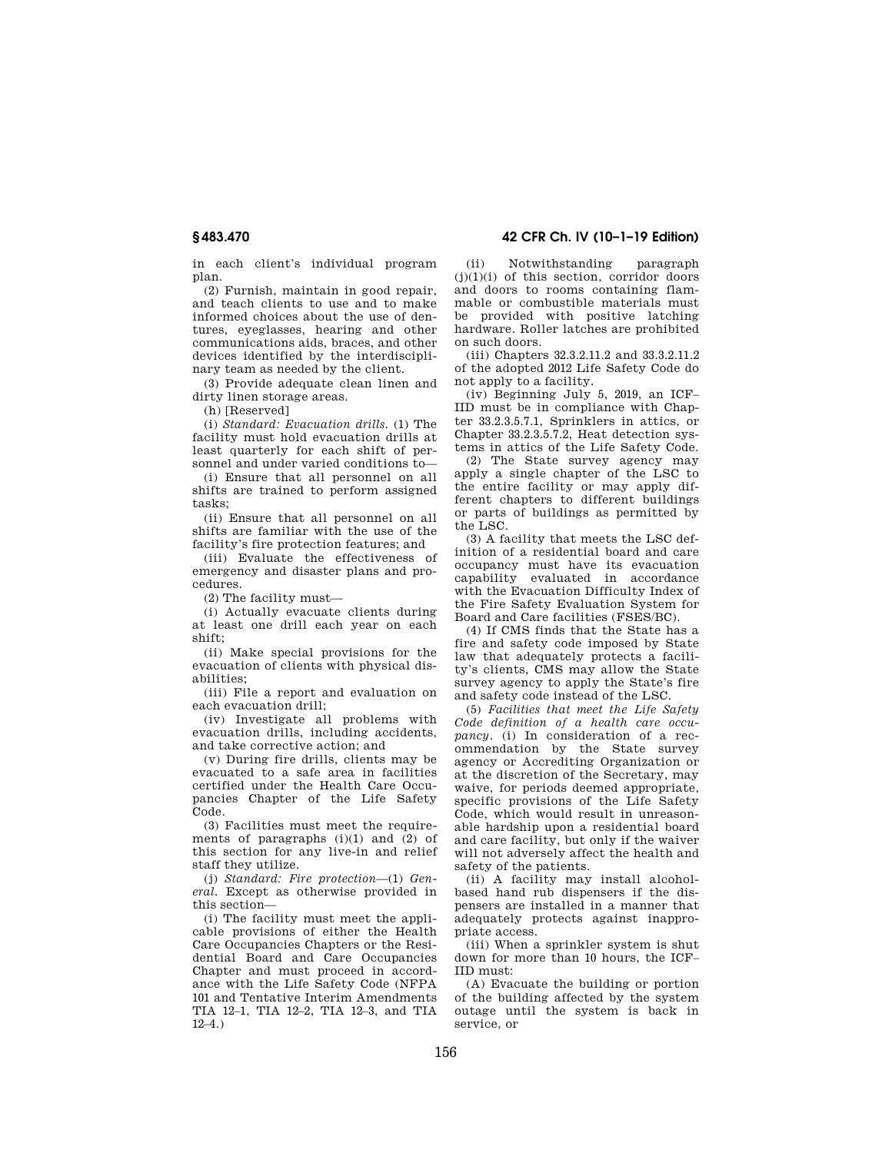**§ 483.470 42 CFR Ch. IV (10–1–19 Edition)** 

in each client's individual program plan.

(2) Furnish, maintain in good repair, and teach clients to use and to make informed choices about the use of dentures, eyeglasses, hearing and other communications aids, braces, and other devices identified by the interdisciplinary team as needed by the client.

(3) Provide adequate clean linen and dirty linen storage areas.

(h) [Reserved]

(i) *Standard: Evacuation drills.* (1) The facility must hold evacuation drills at least quarterly for each shift of personnel and under varied conditions to—

(i) Ensure that all personnel on all shifts are trained to perform assigned tasks;

(ii) Ensure that all personnel on all shifts are familiar with the use of the facility's fire protection features; and

(iii) Evaluate the effectiveness of emergency and disaster plans and procedures.

(2) The facility must—

(i) Actually evacuate clients during at least one drill each year on each shift;

(ii) Make special provisions for the evacuation of clients with physical disabilities;

(iii) File a report and evaluation on each evacuation drill;

(iv) Investigate all problems with evacuation drills, including accidents, and take corrective action; and

(v) During fire drills, clients may be evacuated to a safe area in facilities certified under the Health Care Occupancies Chapter of the Life Safety Code.

(3) Facilities must meet the requirements of paragraphs  $(i)(1)$  and  $(2)$  of this section for any live-in and relief staff they utilize.

(j) *Standard: Fire protection*—(1) *General.* Except as otherwise provided in this section—

(i) The facility must meet the applicable provisions of either the Health Care Occupancies Chapters or the Residential Board and Care Occupancies Chapter and must proceed in accordance with the Life Safety Code (NFPA 101 and Tentative Interim Amendments TIA 12–1, TIA 12–2, TIA 12–3, and TIA  $12-4.$ )

(ii) Notwithstanding paragraph  $(j)(1)(i)$  of this section, corridor doors and doors to rooms containing flammable or combustible materials must be provided with positive latching hardware. Roller latches are prohibited on such doors.

(iii) Chapters 32.3.2.11.2 and 33.3.2.11.2 of the adopted 2012 Life Safety Code do not apply to a facility.

(iv) Beginning July 5, 2019, an ICF– IID must be in compliance with Chapter 33.2.3.5.7.1, Sprinklers in attics, or Chapter 33.2.3.5.7.2, Heat detection systems in attics of the Life Safety Code.

(2) The State survey agency may apply a single chapter of the LSC to the entire facility or may apply different chapters to different buildings or parts of buildings as permitted by the LSC.

(3) A facility that meets the LSC definition of a residential board and care occupancy must have its evacuation capability evaluated in accordance with the Evacuation Difficulty Index of the Fire Safety Evaluation System for Board and Care facilities (FSES/BC).

(4) If CMS finds that the State has a fire and safety code imposed by State law that adequately protects a facility's clients, CMS may allow the State survey agency to apply the State's fire and safety code instead of the LSC.

(5) *Facilities that meet the Life Safety Code definition of a health care occupancy.* (i) In consideration of a recommendation by the State survey agency or Accrediting Organization or at the discretion of the Secretary, may waive, for periods deemed appropriate, specific provisions of the Life Safety Code, which would result in unreasonable hardship upon a residential board and care facility, but only if the waiver will not adversely affect the health and safety of the patients.

(ii) A facility may install alcoholbased hand rub dispensers if the dispensers are installed in a manner that adequately protects against inappropriate access.

(iii) When a sprinkler system is shut down for more than 10 hours, the ICF– IID must:

(A) Evacuate the building or portion of the building affected by the system outage until the system is back in service or